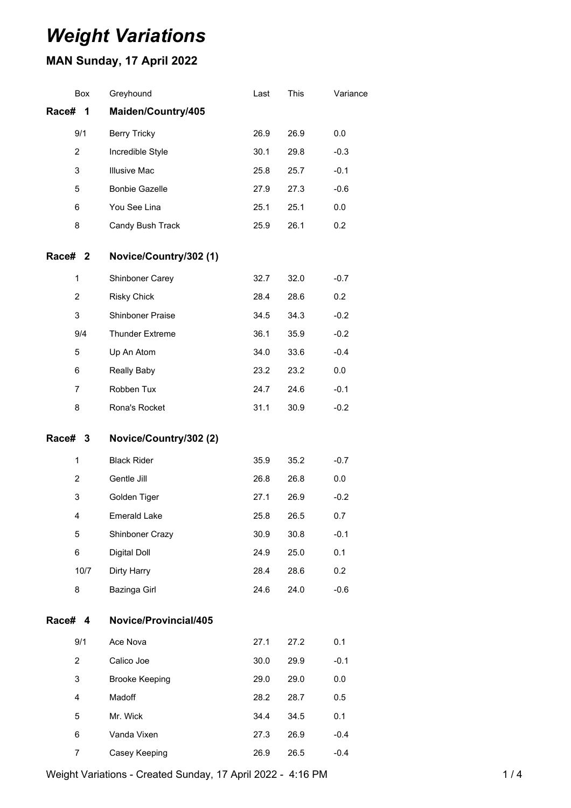# *Weight Variations*

## **MAN Sunday, 17 April 2022**

|         | Box            | Greyhound              | Last | This | Variance |
|---------|----------------|------------------------|------|------|----------|
| Race#   | 1              | Maiden/Country/405     |      |      |          |
|         | 9/1            | <b>Berry Tricky</b>    | 26.9 | 26.9 | 0.0      |
|         | $\overline{2}$ | Incredible Style       | 30.1 | 29.8 | $-0.3$   |
|         | 3              | <b>Illusive Mac</b>    | 25.8 | 25.7 | $-0.1$   |
|         | 5              | <b>Bonbie Gazelle</b>  | 27.9 | 27.3 | $-0.6$   |
|         | 6              | You See Lina           | 25.1 | 25.1 | 0.0      |
|         | 8              | Candy Bush Track       | 25.9 | 26.1 | 0.2      |
| Race# 2 |                | Novice/Country/302 (1) |      |      |          |
|         | $\mathbf{1}$   | Shinboner Carey        | 32.7 | 32.0 | $-0.7$   |
|         | $\overline{c}$ | <b>Risky Chick</b>     | 28.4 | 28.6 | 0.2      |
|         | 3              | Shinboner Praise       | 34.5 | 34.3 | $-0.2$   |
|         | 9/4            | <b>Thunder Extreme</b> | 36.1 | 35.9 | $-0.2$   |
|         | 5              | Up An Atom             | 34.0 | 33.6 | $-0.4$   |
|         | 6              | Really Baby            | 23.2 | 23.2 | 0.0      |
|         | $\overline{7}$ | Robben Tux             | 24.7 | 24.6 | $-0.1$   |
|         | 8              | Rona's Rocket          | 31.1 | 30.9 | $-0.2$   |
|         |                |                        |      |      |          |
| Race# 3 |                | Novice/Country/302 (2) |      |      |          |
|         | $\mathbf{1}$   | <b>Black Rider</b>     | 35.9 | 35.2 | $-0.7$   |
|         | $\overline{c}$ | Gentle Jill            | 26.8 | 26.8 | 0.0      |
|         | 3              | Golden Tiger           | 27.1 | 26.9 | $-0.2$   |
|         | 4              | <b>Emerald Lake</b>    | 25.8 | 26.5 | 0.7      |
|         | 5              | Shinboner Crazy        | 30.9 | 30.8 | $-0.1$   |
|         | 6              | Digital Doll           | 24.9 | 25.0 | 0.1      |
|         | 10/7           | Dirty Harry            | 28.4 | 28.6 | 0.2      |
|         | 8              | Bazinga Girl           | 24.6 | 24.0 | $-0.6$   |
| Race# 4 |                | Novice/Provincial/405  |      |      |          |
|         | 9/1            | Ace Nova               | 27.1 | 27.2 | 0.1      |
|         | $\overline{2}$ | Calico Joe             | 30.0 | 29.9 | $-0.1$   |
|         | 3              | <b>Brooke Keeping</b>  | 29.0 | 29.0 | 0.0      |
|         | 4              | Madoff                 | 28.2 | 28.7 | 0.5      |
|         | 5              | Mr. Wick               | 34.4 | 34.5 | 0.1      |
|         | 6              | Vanda Vixen            | 27.3 | 26.9 | $-0.4$   |
|         | 7              | Casey Keeping          | 26.9 | 26.5 | $-0.4$   |

Weight Variations - Created Sunday, 17 April 2022 - 4:16 PM 1 / 4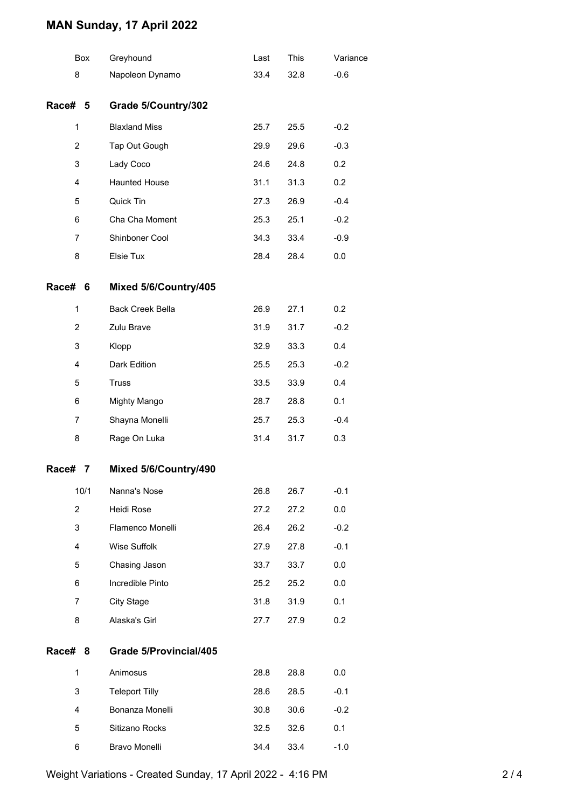### **MAN Sunday, 17 April 2022**

|                | Box  | Greyhound               | Last | This | Variance |
|----------------|------|-------------------------|------|------|----------|
| 8              |      | Napoleon Dynamo         | 33.4 | 32.8 | $-0.6$   |
| Race# 5        |      | Grade 5/Country/302     |      |      |          |
| 1              |      | <b>Blaxland Miss</b>    | 25.7 | 25.5 | $-0.2$   |
| 2              |      | Tap Out Gough           | 29.9 | 29.6 | $-0.3$   |
| 3              |      | Lady Coco               | 24.6 | 24.8 | 0.2      |
| 4              |      | <b>Haunted House</b>    | 31.1 | 31.3 | 0.2      |
| 5              |      | Quick Tin               | 27.3 | 26.9 | $-0.4$   |
| 6              |      | Cha Cha Moment          | 25.3 | 25.1 | $-0.2$   |
| 7              |      | Shinboner Cool          | 34.3 | 33.4 | $-0.9$   |
| 8              |      | Elsie Tux               | 28.4 | 28.4 | 0.0      |
| Race#          | - 6  | Mixed 5/6/Country/405   |      |      |          |
| 1              |      | <b>Back Creek Bella</b> | 26.9 | 27.1 | 0.2      |
| $\overline{2}$ |      | Zulu Brave              | 31.9 | 31.7 | $-0.2$   |
| 3              |      | Klopp                   | 32.9 | 33.3 | 0.4      |
| 4              |      | Dark Edition            | 25.5 | 25.3 | $-0.2$   |
| 5              |      | <b>Truss</b>            | 33.5 | 33.9 | 0.4      |
| 6              |      | Mighty Mango            | 28.7 | 28.8 | 0.1      |
| 7              |      | Shayna Monelli          | 25.7 | 25.3 | $-0.4$   |
| 8              |      | Rage On Luka            | 31.4 | 31.7 | 0.3      |
| Race#          | 7    | Mixed 5/6/Country/490   |      |      |          |
|                | 10/1 | Nanna's Nose            | 26.8 | 26.7 | $-0.1$   |
| 2              |      | Heidi Rose              | 27.2 | 27.2 | 0.0      |
| 3              |      | Flamenco Monelli        | 26.4 | 26.2 | $-0.2$   |
| 4              |      | Wise Suffolk            | 27.9 | 27.8 | $-0.1$   |
| 5              |      | Chasing Jason           | 33.7 | 33.7 | 0.0      |
| 6              |      | Incredible Pinto        | 25.2 | 25.2 | 0.0      |
| 7              |      | <b>City Stage</b>       | 31.8 | 31.9 | 0.1      |
| 8              |      | Alaska's Girl           | 27.7 | 27.9 | 0.2      |
| Race#          | 8    | Grade 5/Provincial/405  |      |      |          |
| 1              |      | Animosus                | 28.8 | 28.8 | 0.0      |
| 3              |      | <b>Teleport Tilly</b>   | 28.6 | 28.5 | $-0.1$   |
| 4              |      | Bonanza Monelli         | 30.8 | 30.6 | $-0.2$   |
| 5              |      | Sitizano Rocks          | 32.5 | 32.6 | 0.1      |
| 6              |      | Bravo Monelli           | 34.4 | 33.4 | $-1.0$   |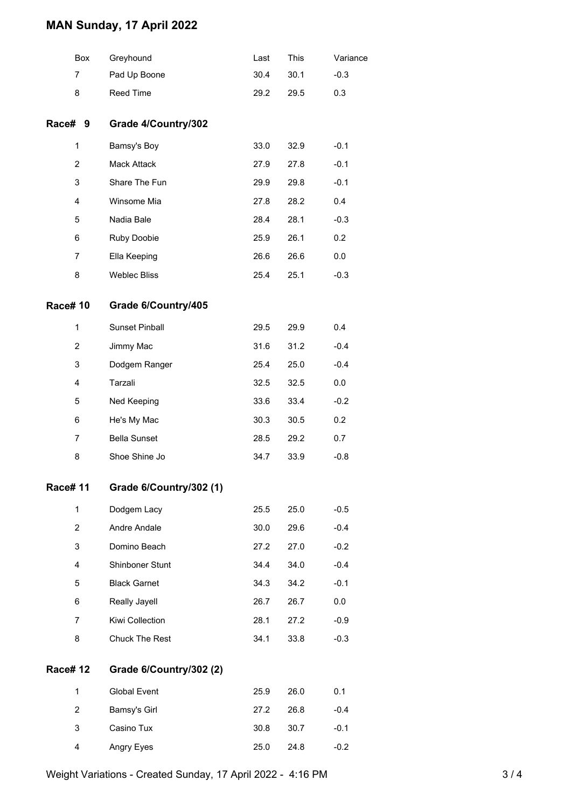### **MAN Sunday, 17 April 2022**

|                 | <b>Box</b> | Greyhound               | Last | This | Variance |
|-----------------|------------|-------------------------|------|------|----------|
| 7               |            | Pad Up Boone            | 30.4 | 30.1 | $-0.3$   |
| 8               |            | Reed Time               | 29.2 | 29.5 | 0.3      |
| Race#           | 9          | Grade 4/Country/302     |      |      |          |
| 1               |            | Bamsy's Boy             | 33.0 | 32.9 | $-0.1$   |
| $\overline{c}$  |            | Mack Attack             | 27.9 | 27.8 | $-0.1$   |
| 3               |            | Share The Fun           | 29.9 | 29.8 | $-0.1$   |
| 4               |            | Winsome Mia             | 27.8 | 28.2 | 0.4      |
| 5               |            | Nadia Bale              | 28.4 | 28.1 | $-0.3$   |
| 6               |            | Ruby Doobie             | 25.9 | 26.1 | 0.2      |
| $\overline{7}$  |            | Ella Keeping            | 26.6 | 26.6 | 0.0      |
| 8               |            | <b>Weblec Bliss</b>     | 25.4 | 25.1 | $-0.3$   |
| <b>Race#10</b>  |            | Grade 6/Country/405     |      |      |          |
| 1               |            | <b>Sunset Pinball</b>   | 29.5 | 29.9 | 0.4      |
| $\overline{c}$  |            | Jimmy Mac               | 31.6 | 31.2 | $-0.4$   |
| 3               |            | Dodgem Ranger           | 25.4 | 25.0 | $-0.4$   |
| 4               |            | Tarzali                 | 32.5 | 32.5 | 0.0      |
| 5               |            | Ned Keeping             | 33.6 | 33.4 | $-0.2$   |
| 6               |            | He's My Mac             | 30.3 | 30.5 | 0.2      |
| 7               |            | <b>Bella Sunset</b>     | 28.5 | 29.2 | 0.7      |
| 8               |            | Shoe Shine Jo           | 34.7 | 33.9 | $-0.8$   |
| Race# 11        |            | Grade 6/Country/302 (1) |      |      |          |
| 1               |            | Dodgem Lacy             | 25.5 | 25.0 | $-0.5$   |
| 2               |            | Andre Andale            | 30.0 | 29.6 | $-0.4$   |
| 3               |            | Domino Beach            | 27.2 | 27.0 | $-0.2$   |
| 4               |            | Shinboner Stunt         | 34.4 | 34.0 | $-0.4$   |
| 5               |            | <b>Black Garnet</b>     | 34.3 | 34.2 | $-0.1$   |
| 6               |            | Really Jayell           | 26.7 | 26.7 | 0.0      |
| $\overline{7}$  |            | Kiwi Collection         | 28.1 | 27.2 | $-0.9$   |
| 8               |            | Chuck The Rest          | 34.1 | 33.8 | $-0.3$   |
| <b>Race# 12</b> |            | Grade 6/Country/302 (2) |      |      |          |
| 1               |            | <b>Global Event</b>     | 25.9 | 26.0 | 0.1      |
| 2               |            | Bamsy's Girl            | 27.2 | 26.8 | $-0.4$   |
| 3               |            | Casino Tux              | 30.8 | 30.7 | $-0.1$   |
| 4               |            | Angry Eyes              | 25.0 | 24.8 | $-0.2$   |

Weight Variations - Created Sunday, 17 April 2022 - 4:16 PM 3 / 4